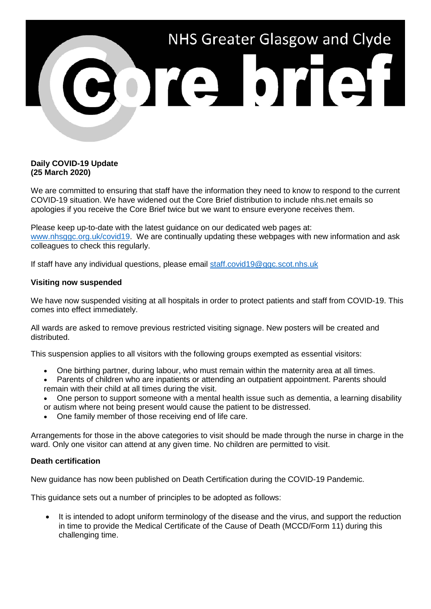

### **Daily COVID-19 Update (25 March 2020)**

We are committed to ensuring that staff have the information they need to know to respond to the current COVID-19 situation. We have widened out the Core Brief distribution to include nhs.net emails so apologies if you receive the Core Brief twice but we want to ensure everyone receives them.

Please keep up-to-date with the latest guidance on our dedicated web pages at: [www.nhsggc.org.uk/covid19.](http://www.nhsggc.org.uk/covid19) We are continually updating these webpages with new information and ask colleagues to check this regularly.

If staff have any individual questions, please email [staff.covid19@ggc.scot.nhs.uk](mailto:staff.covid19@ggc.scot.nhs.uk)

## **Visiting now suspended**

We have now suspended visiting at all hospitals in order to protect patients and staff from COVID-19. This comes into effect immediately.

All wards are asked to remove previous restricted visiting signage. New posters will be created and distributed.

This suspension applies to all visitors with the following groups exempted as essential visitors:

- One birthing partner, during labour, who must remain within the maternity area at all times.
- Parents of children who are inpatients or attending an outpatient appointment. Parents should remain with their child at all times during the visit.
- One person to support someone with a mental health issue such as dementia, a learning disability or autism where not being present would cause the patient to be distressed.
- One family member of those receiving end of life care.

Arrangements for those in the above categories to visit should be made through the nurse in charge in the ward. Only one visitor can attend at any given time. No children are permitted to visit.

#### **Death certification**

New guidance has now been published on Death Certification during the COVID-19 Pandemic.

This guidance sets out a number of principles to be adopted as follows:

It is intended to adopt uniform terminology of the disease and the virus, and support the reduction in time to provide the Medical Certificate of the Cause of Death (MCCD/Form 11) during this challenging time.